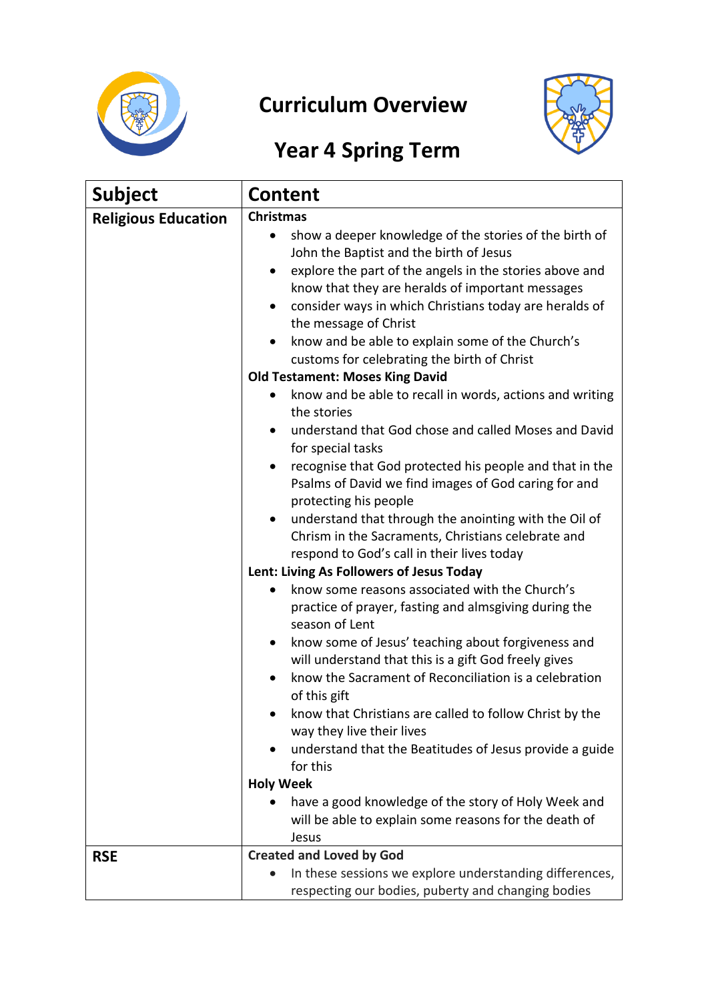

## **Curriculum Overview**



## **Year 4 Spring Term**

| <b>Subject</b>             | <b>Content</b>                                                                                                                                                         |  |
|----------------------------|------------------------------------------------------------------------------------------------------------------------------------------------------------------------|--|
| <b>Religious Education</b> | <b>Christmas</b>                                                                                                                                                       |  |
|                            | show a deeper knowledge of the stories of the birth of<br>$\bullet$<br>John the Baptist and the birth of Jesus                                                         |  |
|                            | explore the part of the angels in the stories above and<br>know that they are heralds of important messages<br>consider ways in which Christians today are heralds of  |  |
|                            | the message of Christ                                                                                                                                                  |  |
|                            | know and be able to explain some of the Church's                                                                                                                       |  |
|                            | customs for celebrating the birth of Christ                                                                                                                            |  |
|                            | <b>Old Testament: Moses King David</b>                                                                                                                                 |  |
|                            | know and be able to recall in words, actions and writing<br>the stories                                                                                                |  |
|                            | understand that God chose and called Moses and David<br>for special tasks                                                                                              |  |
|                            | recognise that God protected his people and that in the<br>Psalms of David we find images of God caring for and<br>protecting his people                               |  |
|                            | understand that through the anointing with the Oil of<br>$\bullet$<br>Chrism in the Sacraments, Christians celebrate and<br>respond to God's call in their lives today |  |
|                            | Lent: Living As Followers of Jesus Today                                                                                                                               |  |
|                            | know some reasons associated with the Church's<br>practice of prayer, fasting and almsgiving during the<br>season of Lent                                              |  |
|                            | know some of Jesus' teaching about forgiveness and<br>$\bullet$                                                                                                        |  |
|                            | will understand that this is a gift God freely gives                                                                                                                   |  |
|                            | know the Sacrament of Reconciliation is a celebration<br>of this gift                                                                                                  |  |
|                            | know that Christians are called to follow Christ by the<br>way they live their lives                                                                                   |  |
|                            | understand that the Beatitudes of Jesus provide a guide<br>for this                                                                                                    |  |
|                            | <b>Holy Week</b>                                                                                                                                                       |  |
|                            | have a good knowledge of the story of Holy Week and                                                                                                                    |  |
|                            | will be able to explain some reasons for the death of                                                                                                                  |  |
|                            | Jesus                                                                                                                                                                  |  |
| <b>RSE</b>                 | <b>Created and Loved by God</b>                                                                                                                                        |  |
|                            | In these sessions we explore understanding differences,<br>respecting our bodies, puberty and changing bodies                                                          |  |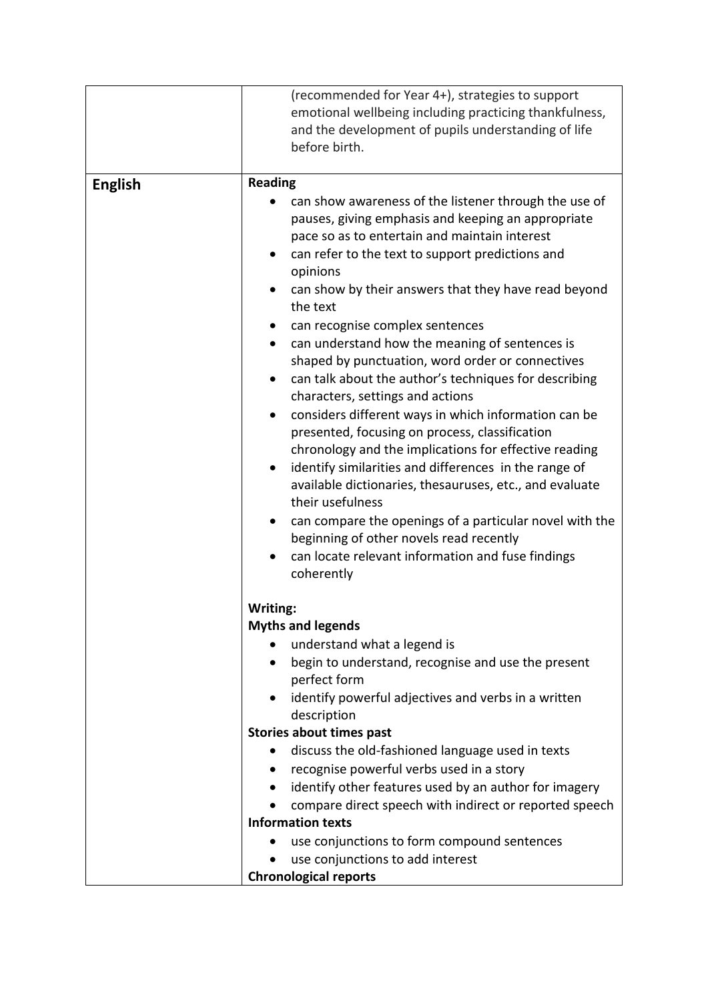|                | (recommended for Year 4+), strategies to support<br>emotional wellbeing including practicing thankfulness,<br>and the development of pupils understanding of life<br>before birth.                                                                                                                                                                                                                                                                                                                                                                                                                                                                                                                                                                                                                                                                                                                                                                                                                                                                        |
|----------------|-----------------------------------------------------------------------------------------------------------------------------------------------------------------------------------------------------------------------------------------------------------------------------------------------------------------------------------------------------------------------------------------------------------------------------------------------------------------------------------------------------------------------------------------------------------------------------------------------------------------------------------------------------------------------------------------------------------------------------------------------------------------------------------------------------------------------------------------------------------------------------------------------------------------------------------------------------------------------------------------------------------------------------------------------------------|
|                |                                                                                                                                                                                                                                                                                                                                                                                                                                                                                                                                                                                                                                                                                                                                                                                                                                                                                                                                                                                                                                                           |
| <b>English</b> | <b>Reading</b><br>can show awareness of the listener through the use of<br>pauses, giving emphasis and keeping an appropriate<br>pace so as to entertain and maintain interest<br>can refer to the text to support predictions and<br>opinions<br>can show by their answers that they have read beyond<br>the text<br>can recognise complex sentences<br>can understand how the meaning of sentences is<br>shaped by punctuation, word order or connectives<br>can talk about the author's techniques for describing<br>characters, settings and actions<br>considers different ways in which information can be<br>presented, focusing on process, classification<br>chronology and the implications for effective reading<br>identify similarities and differences in the range of<br>$\bullet$<br>available dictionaries, thesauruses, etc., and evaluate<br>their usefulness<br>can compare the openings of a particular novel with the<br>beginning of other novels read recently<br>can locate relevant information and fuse findings<br>coherently |
|                | Writing:                                                                                                                                                                                                                                                                                                                                                                                                                                                                                                                                                                                                                                                                                                                                                                                                                                                                                                                                                                                                                                                  |
|                | <b>Myths and legends</b>                                                                                                                                                                                                                                                                                                                                                                                                                                                                                                                                                                                                                                                                                                                                                                                                                                                                                                                                                                                                                                  |
|                | understand what a legend is                                                                                                                                                                                                                                                                                                                                                                                                                                                                                                                                                                                                                                                                                                                                                                                                                                                                                                                                                                                                                               |
|                | begin to understand, recognise and use the present<br>perfect form                                                                                                                                                                                                                                                                                                                                                                                                                                                                                                                                                                                                                                                                                                                                                                                                                                                                                                                                                                                        |
|                | identify powerful adjectives and verbs in a written<br>description                                                                                                                                                                                                                                                                                                                                                                                                                                                                                                                                                                                                                                                                                                                                                                                                                                                                                                                                                                                        |
|                | <b>Stories about times past</b>                                                                                                                                                                                                                                                                                                                                                                                                                                                                                                                                                                                                                                                                                                                                                                                                                                                                                                                                                                                                                           |
|                | discuss the old-fashioned language used in texts<br>$\bullet$                                                                                                                                                                                                                                                                                                                                                                                                                                                                                                                                                                                                                                                                                                                                                                                                                                                                                                                                                                                             |
|                | recognise powerful verbs used in a story                                                                                                                                                                                                                                                                                                                                                                                                                                                                                                                                                                                                                                                                                                                                                                                                                                                                                                                                                                                                                  |
|                | identify other features used by an author for imagery<br>$\bullet$                                                                                                                                                                                                                                                                                                                                                                                                                                                                                                                                                                                                                                                                                                                                                                                                                                                                                                                                                                                        |
|                | compare direct speech with indirect or reported speech                                                                                                                                                                                                                                                                                                                                                                                                                                                                                                                                                                                                                                                                                                                                                                                                                                                                                                                                                                                                    |
|                | <b>Information texts</b>                                                                                                                                                                                                                                                                                                                                                                                                                                                                                                                                                                                                                                                                                                                                                                                                                                                                                                                                                                                                                                  |
|                | use conjunctions to form compound sentences                                                                                                                                                                                                                                                                                                                                                                                                                                                                                                                                                                                                                                                                                                                                                                                                                                                                                                                                                                                                               |
|                | use conjunctions to add interest                                                                                                                                                                                                                                                                                                                                                                                                                                                                                                                                                                                                                                                                                                                                                                                                                                                                                                                                                                                                                          |
|                | <b>Chronological reports</b>                                                                                                                                                                                                                                                                                                                                                                                                                                                                                                                                                                                                                                                                                                                                                                                                                                                                                                                                                                                                                              |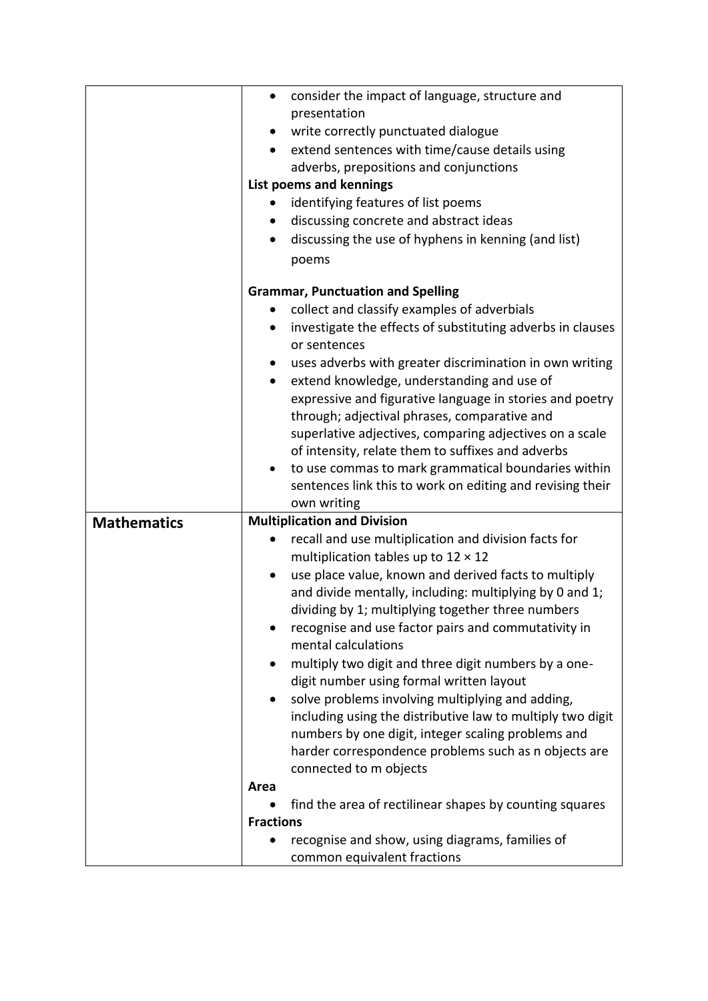|                    | consider the impact of language, structure and<br>$\bullet$                                                |  |
|--------------------|------------------------------------------------------------------------------------------------------------|--|
|                    | presentation                                                                                               |  |
|                    | write correctly punctuated dialogue                                                                        |  |
|                    | extend sentences with time/cause details using                                                             |  |
|                    | adverbs, prepositions and conjunctions                                                                     |  |
|                    | List poems and kennings                                                                                    |  |
|                    | identifying features of list poems<br>$\bullet$                                                            |  |
|                    | discussing concrete and abstract ideas                                                                     |  |
|                    | discussing the use of hyphens in kenning (and list)                                                        |  |
|                    | poems                                                                                                      |  |
|                    |                                                                                                            |  |
|                    | <b>Grammar, Punctuation and Spelling</b>                                                                   |  |
|                    | collect and classify examples of adverbials<br>$\bullet$                                                   |  |
|                    | investigate the effects of substituting adverbs in clauses<br>٠                                            |  |
|                    | or sentences                                                                                               |  |
|                    | uses adverbs with greater discrimination in own writing                                                    |  |
|                    | extend knowledge, understanding and use of<br>$\bullet$                                                    |  |
|                    | expressive and figurative language in stories and poetry                                                   |  |
|                    | through; adjectival phrases, comparative and                                                               |  |
|                    | superlative adjectives, comparing adjectives on a scale                                                    |  |
|                    | of intensity, relate them to suffixes and adverbs                                                          |  |
|                    | to use commas to mark grammatical boundaries within                                                        |  |
|                    | sentences link this to work on editing and revising their                                                  |  |
|                    | own writing                                                                                                |  |
| <b>Mathematics</b> | <b>Multiplication and Division</b>                                                                         |  |
|                    | recall and use multiplication and division facts for                                                       |  |
|                    | multiplication tables up to $12 \times 12$                                                                 |  |
|                    | use place value, known and derived facts to multiply                                                       |  |
|                    | and divide mentally, including: multiplying by 0 and 1;                                                    |  |
|                    | dividing by 1; multiplying together three numbers                                                          |  |
|                    | recognise and use factor pairs and commutativity in                                                        |  |
|                    | mental calculations                                                                                        |  |
|                    | multiply two digit and three digit numbers by a one-                                                       |  |
|                    | digit number using formal written layout                                                                   |  |
|                    | solve problems involving multiplying and adding,                                                           |  |
|                    | including using the distributive law to multiply two digit                                                 |  |
|                    | numbers by one digit, integer scaling problems and<br>harder correspondence problems such as n objects are |  |
|                    | connected to m objects                                                                                     |  |
|                    | Area                                                                                                       |  |
|                    | find the area of rectilinear shapes by counting squares                                                    |  |
|                    | <b>Fractions</b>                                                                                           |  |
|                    | recognise and show, using diagrams, families of                                                            |  |
|                    | common equivalent fractions                                                                                |  |
|                    |                                                                                                            |  |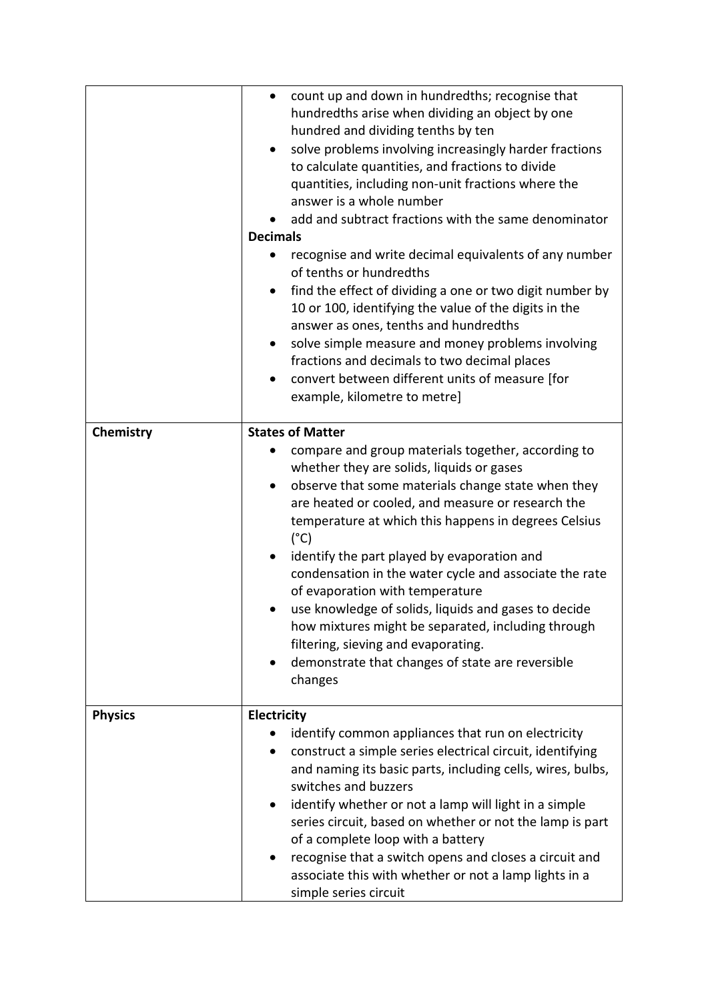|                | count up and down in hundredths; recognise that<br>$\bullet$<br>hundredths arise when dividing an object by one<br>hundred and dividing tenths by ten<br>solve problems involving increasingly harder fractions<br>to calculate quantities, and fractions to divide<br>quantities, including non-unit fractions where the<br>answer is a whole number<br>add and subtract fractions with the same denominator<br><b>Decimals</b><br>recognise and write decimal equivalents of any number                                                                                                                                                                                                   |
|----------------|---------------------------------------------------------------------------------------------------------------------------------------------------------------------------------------------------------------------------------------------------------------------------------------------------------------------------------------------------------------------------------------------------------------------------------------------------------------------------------------------------------------------------------------------------------------------------------------------------------------------------------------------------------------------------------------------|
|                | of tenths or hundredths<br>find the effect of dividing a one or two digit number by<br>10 or 100, identifying the value of the digits in the<br>answer as ones, tenths and hundredths<br>solve simple measure and money problems involving<br>$\bullet$<br>fractions and decimals to two decimal places<br>convert between different units of measure [for<br>$\bullet$<br>example, kilometre to metre]                                                                                                                                                                                                                                                                                     |
| Chemistry      | <b>States of Matter</b><br>compare and group materials together, according to<br>whether they are solids, liquids or gases<br>observe that some materials change state when they<br>$\bullet$<br>are heated or cooled, and measure or research the<br>temperature at which this happens in degrees Celsius<br>$(^{\circ}C)$<br>identify the part played by evaporation and<br>condensation in the water cycle and associate the rate<br>of evaporation with temperature<br>use knowledge of solids, liquids and gases to decide<br>how mixtures might be separated, including through<br>filtering, sieving and evaporating.<br>demonstrate that changes of state are reversible<br>changes |
| <b>Physics</b> | Electricity<br>identify common appliances that run on electricity<br>construct a simple series electrical circuit, identifying<br>٠<br>and naming its basic parts, including cells, wires, bulbs,<br>switches and buzzers<br>identify whether or not a lamp will light in a simple<br>series circuit, based on whether or not the lamp is part<br>of a complete loop with a battery<br>recognise that a switch opens and closes a circuit and<br>associate this with whether or not a lamp lights in a<br>simple series circuit                                                                                                                                                             |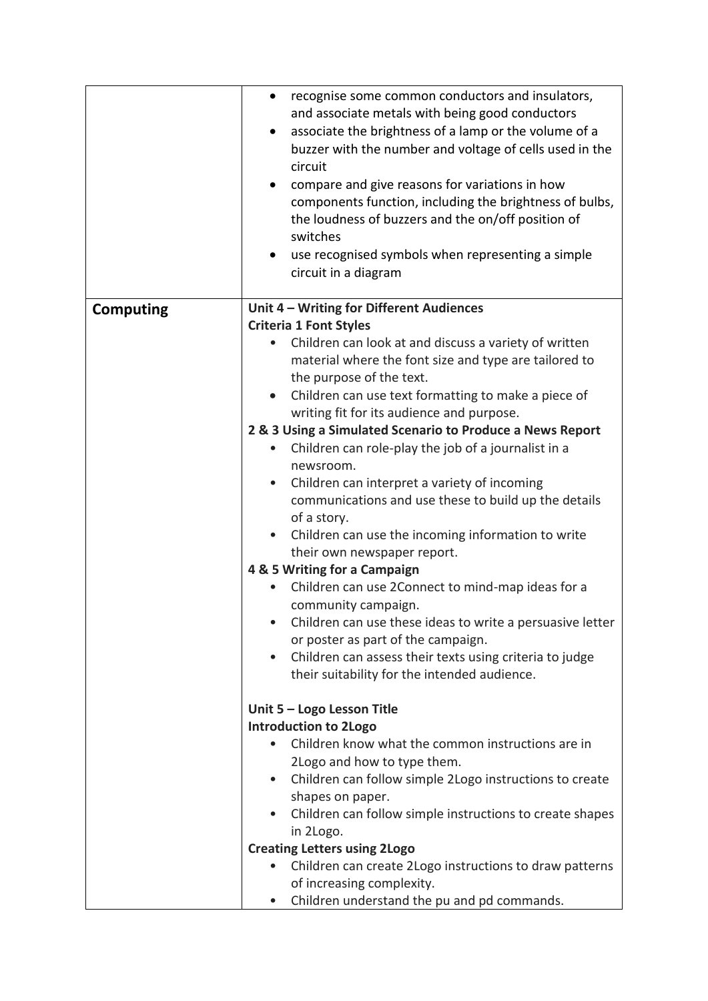|                  | recognise some common conductors and insulators,<br>$\bullet$         |
|------------------|-----------------------------------------------------------------------|
|                  | and associate metals with being good conductors                       |
|                  | associate the brightness of a lamp or the volume of a<br>$\bullet$    |
|                  | buzzer with the number and voltage of cells used in the               |
|                  | circuit                                                               |
|                  | compare and give reasons for variations in how<br>$\bullet$           |
|                  | components function, including the brightness of bulbs,               |
|                  | the loudness of buzzers and the on/off position of                    |
|                  | switches                                                              |
|                  | use recognised symbols when representing a simple                     |
|                  | circuit in a diagram                                                  |
|                  |                                                                       |
| <b>Computing</b> | Unit 4 - Writing for Different Audiences                              |
|                  | <b>Criteria 1 Font Styles</b>                                         |
|                  | Children can look at and discuss a variety of written                 |
|                  | material where the font size and type are tailored to                 |
|                  | the purpose of the text.                                              |
|                  |                                                                       |
|                  | Children can use text formatting to make a piece of                   |
|                  | writing fit for its audience and purpose.                             |
|                  | 2 & 3 Using a Simulated Scenario to Produce a News Report             |
|                  | Children can role-play the job of a journalist in a                   |
|                  | newsroom.                                                             |
|                  | Children can interpret a variety of incoming<br>$\bullet$             |
|                  | communications and use these to build up the details                  |
|                  | of a story.                                                           |
|                  | Children can use the incoming information to write                    |
|                  | their own newspaper report.                                           |
|                  | 4 & 5 Writing for a Campaign                                          |
|                  | Children can use 2Connect to mind-map ideas for a                     |
|                  | community campaign.                                                   |
|                  | Children can use these ideas to write a persuasive letter             |
|                  | or poster as part of the campaign.                                    |
|                  | Children can assess their texts using criteria to judge<br>$\bullet$  |
|                  | their suitability for the intended audience.                          |
|                  |                                                                       |
|                  | Unit 5 - Logo Lesson Title                                            |
|                  | <b>Introduction to 2Logo</b>                                          |
|                  | Children know what the common instructions are in                     |
|                  | 2Logo and how to type them.                                           |
|                  | Children can follow simple 2Logo instructions to create<br>$\bullet$  |
|                  | shapes on paper.                                                      |
|                  | Children can follow simple instructions to create shapes<br>$\bullet$ |
|                  | in 2Logo.                                                             |
|                  | <b>Creating Letters using 2Logo</b>                                   |
|                  | Children can create 2Logo instructions to draw patterns               |
|                  | of increasing complexity.                                             |
|                  | Children understand the pu and pd commands.<br>$\bullet$              |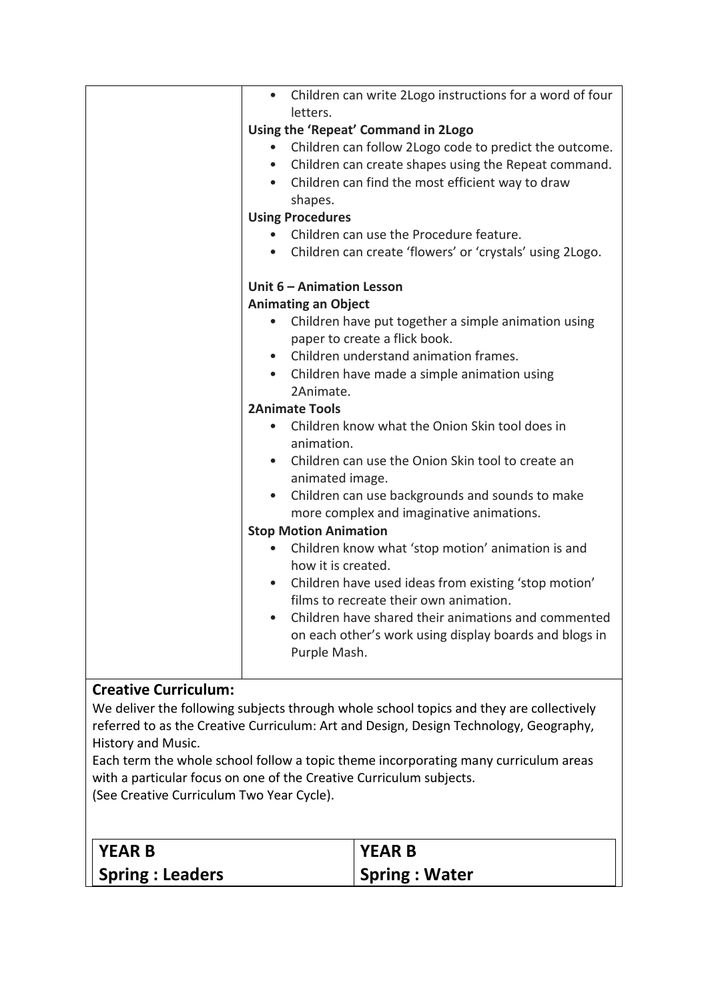| Children can write 2Logo instructions for a word of four<br>letters. |
|----------------------------------------------------------------------|
| Using the 'Repeat' Command in 2Logo                                  |
| Children can follow 2Logo code to predict the outcome.<br>$\bullet$  |
| Children can create shapes using the Repeat command.                 |
| • Children can find the most efficient way to draw                   |
| shapes.                                                              |
| <b>Using Procedures</b>                                              |
| Children can use the Procedure feature.                              |
| • Children can create 'flowers' or 'crystals' using 2Logo.           |
| Unit 6 - Animation Lesson                                            |
| <b>Animating an Object</b>                                           |
| Children have put together a simple animation using<br>$\bullet$     |
| paper to create a flick book.                                        |
| Children understand animation frames.                                |
| • Children have made a simple animation using                        |
| 2Animate.                                                            |
| <b>2Animate Tools</b>                                                |
| Children know what the Onion Skin tool does in<br>$\bullet$          |
| animation.                                                           |
| • Children can use the Onion Skin tool to create an                  |
| animated image.                                                      |
| Children can use backgrounds and sounds to make                      |
| more complex and imaginative animations.                             |
| <b>Stop Motion Animation</b>                                         |
| Children know what 'stop motion' animation is and                    |
| how it is created.                                                   |
| • Children have used ideas from existing 'stop motion'               |
| films to recreate their own animation.                               |
| Children have shared their animations and commented<br>$\bullet$     |
| on each other's work using display boards and blogs in               |
| Purple Mash.                                                         |
|                                                                      |

## **Creative Curriculum:**

We deliver the following subjects through whole school topics and they are collectively referred to as the Creative Curriculum: Art and Design, Design Technology, Geography, History and Music.

Each term the whole school follow a topic theme incorporating many curriculum areas with a particular focus on one of the Creative Curriculum subjects. (See Creative Curriculum Two Year Cycle).

| $\overline{\phantom{a}}$ YEAR B | <b>I YEAR B</b>      |
|---------------------------------|----------------------|
| <b>Spring: Leaders</b>          | <b>Spring: Water</b> |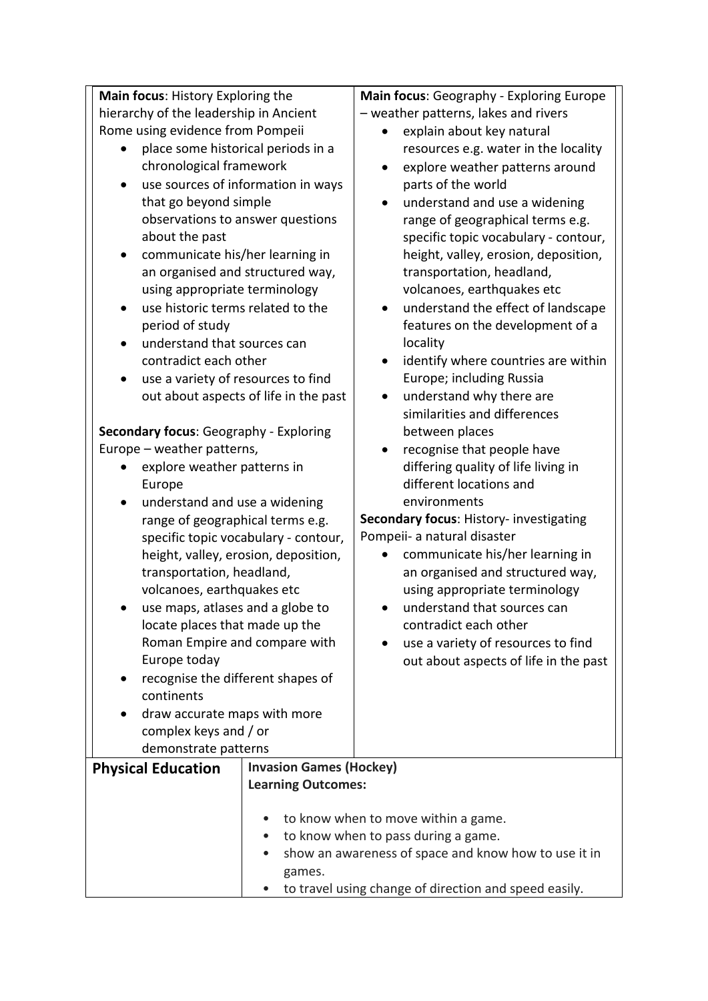**Main focus**: History Exploring the hierarchy of the leadership in Ancient Rome using evidence from Pompeii • place some historical periods in a chronological framework • use sources of information in ways that go beyond simple observations to answer questions about the past • communicate his/her learning in an organised and structured way, using appropriate terminology • use historic terms related to the period of study • understand that sources can contradict each other • use a variety of resources to find out about aspects of life in the past **Secondary focus**: Geography - Exploring Europe – weather patterns, • explore weather patterns in Europe • understand and use a widening range of geographical terms e.g. specific topic vocabulary - contour, height, valley, erosion, deposition, transportation, headland, volcanoes, earthquakes etc • use maps, atlases and a globe to locate places that made up the Roman Empire and compare with Europe today • recognise the different shapes of continents • draw accurate maps with more complex keys and / or demonstrate patterns **Main focus**: Geography - Exploring Europe – weather patterns, lakes and rivers • explain about key natural resources e.g. water in the locality • explore weather patterns around parts of the world • understand and use a widening range of geographical terms e.g. specific topic vocabulary - contour, height, valley, erosion, deposition, transportation, headland, volcanoes, earthquakes etc • understand the effect of landscape features on the development of a locality • identify where countries are within Europe; including Russia • understand why there are similarities and differences between places • recognise that people have differing quality of life living in different locations and environments **Secondary focus**: History- investigating Pompeii- a natural disaster • communicate his/her learning in an organised and structured way, using appropriate terminology • understand that sources can contradict each other • use a variety of resources to find out about aspects of life in the past **Physical Education Invasion Games (Hockey) Learning Outcomes:** to know when to move within a game. • to know when to pass during a game. • show an awareness of space and know how to use it in

games.

• to travel using change of direction and speed easily.